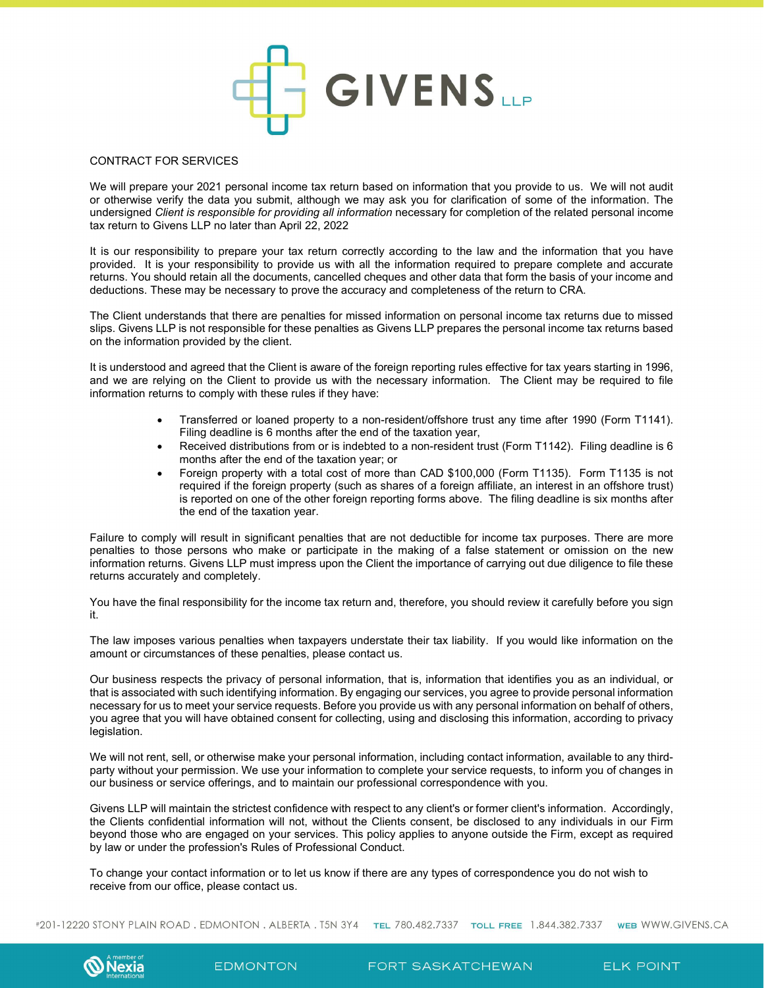

## CONTRACT FOR SERVICES

We will prepare your 2021 personal income tax return based on information that you provide to us. We will not audit or otherwise verify the data you submit, although we may ask you for clarification of some of the information. The undersigned Client is responsible for providing all information necessary for completion of the related personal income tax return to Givens LLP no later than April 22, 2022

It is our responsibility to prepare your tax return correctly according to the law and the information that you have provided. It is your responsibility to provide us with all the information required to prepare complete and accurate returns. You should retain all the documents, cancelled cheques and other data that form the basis of your income and deductions. These may be necessary to prove the accuracy and completeness of the return to CRA.

The Client understands that there are penalties for missed information on personal income tax returns due to missed slips. Givens LLP is not responsible for these penalties as Givens LLP prepares the personal income tax returns based on the information provided by the client.

It is understood and agreed that the Client is aware of the foreign reporting rules effective for tax years starting in 1996, and we are relying on the Client to provide us with the necessary information. The Client may be required to file information returns to comply with these rules if they have:

- Transferred or loaned property to a non-resident/offshore trust any time after 1990 (Form T1141). Filing deadline is 6 months after the end of the taxation year,
- Received distributions from or is indebted to a non-resident trust (Form T1142). Filing deadline is 6 months after the end of the taxation year; or
- Foreign property with a total cost of more than CAD \$100,000 (Form T1135). Form T1135 is not required if the foreign property (such as shares of a foreign affiliate, an interest in an offshore trust) is reported on one of the other foreign reporting forms above. The filing deadline is six months after the end of the taxation year.

Failure to comply will result in significant penalties that are not deductible for income tax purposes. There are more penalties to those persons who make or participate in the making of a false statement or omission on the new information returns. Givens LLP must impress upon the Client the importance of carrying out due diligence to file these returns accurately and completely.

You have the final responsibility for the income tax return and, therefore, you should review it carefully before you sign it.

The law imposes various penalties when taxpayers understate their tax liability. If you would like information on the amount or circumstances of these penalties, please contact us.

Our business respects the privacy of personal information, that is, information that identifies you as an individual, or that is associated with such identifying information. By engaging our services, you agree to provide personal information necessary for us to meet your service requests. Before you provide us with any personal information on behalf of others, you agree that you will have obtained consent for collecting, using and disclosing this information, according to privacy legislation.

We will not rent, sell, or otherwise make your personal information, including contact information, available to any thirdparty without your permission. We use your information to complete your service requests, to inform you of changes in our business or service offerings, and to maintain our professional correspondence with you.

Givens LLP will maintain the strictest confidence with respect to any client's or former client's information. Accordingly, the Clients confidential information will not, without the Clients consent, be disclosed to any individuals in our Firm beyond those who are engaged on your services. This policy applies to anyone outside the Firm, except as required by law or under the profession's Rules of Professional Conduct.

To change your contact information or to let us know if there are any types of correspondence you do not wish to receive from our office, please contact us.

#201-12220 STONY PLAIN ROAD. EDMONTON. ALBERTA. T5N 3Y4 TEL 780.482.7337 TOLL FREE 1.844.382.7337 WEB WWW.GIVENS.CA